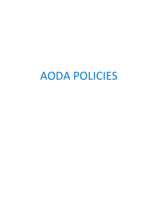# AODA POLICIES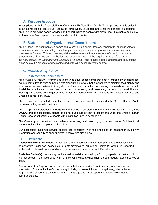## A. Purpose & Scope

In compliance with the Accessibility for Ontarians with Disabilities Act, 2005, the purpose of this policy is to outline responsibilities of our Associates (employees, volunteers and other third parties) on behalf of Amhil NA in providing goods, services and opportunities to people with disabilities. This policy applies to all Associates (employees, volunteers and other third parties).

# B. Statement of Organizational Commitment

Amhil/ Stone (the "Company") is committed to providing a barrier-free environment for all stakeholders including our customers, employees, job applicants, suppliers, and any visitors who may enter our premises in Ontario. This includes any stakeholders who want to access our information, or use our goods and services. As an organization, we respect and uphold the requirements set forth under the *Accessibility for Ontarians with Disabilities Act* (2005), and its associated standards and regulations which sets out a process for developing and enforcing accessibility standards

## C. Accessibility Policy

## i. Statement of Commitment

Amhil/ Stone "Company" is committed to ensuring equal access and participation for people with disabilities. We are committed to treating people with disabilities in a way that allows them to maintain their dignity and independence. We believe in integration and we are committed to meeting the needs of people with disabilities in a timely manner. We will do so by removing and preventing barriers to accessibility and meeting our accessibility requirements under the Accessibility for Ontarians with Disabilities Act and Ontario's accessibility laws.

The Company is committed to meeting its current and ongoing obligations under the Ontario Human Rights Code respecting non-discrimination.

The Company understands that obligations under the Accessibility for Ontarians with Disabilities Act, 2005 (AODA) and its accessibility standards do not substitute or limit its obligations under the Ontario Human Rights Code or obligations to people with disabilities under any other law.

The Company is committed to excellence in serving and providing goods, services or facilities to all customers including people with disabilities.

Our accessible customer service policies are consistent with the principles of independence, dignity, integration and equality of opportunity for people with disabilities.

## ii. Definitions

**Accessible Format(s):** means formats that are an alternative to standard print and are accessible to persons with Disabilities. Accessible Formats may include, but are not limited to, large print, recorded audio and electronic formats, and other formats usable by persons with Disabilities.

**Assistive Device(s):** means any device used to assist a person in performing a particular task(s) or to aid that person in activities of daily living. This can include a wheelchair, screen reader, listening device or cane.

**Communication Support(s):** means supports that persons with Disabilities may need to access information. Communication Supports may include, but are not limited to, captioning, alternative and augmentative supports, plain language, sign language and other supports that facilitate effective communications.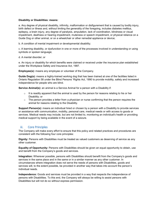#### **Disability or Disabilities: means:**

a. Any degree of physical disability, infirmity, malformation or disfigurement that is caused by bodily injury, birth defect or illness and, without limiting the generality of the foregoing, includes diabetes mellitus, epilepsy, a brain injury, any degree of paralysis, amputation, lack of coordination, blindness or visual impediment, deafness or hearing impediment, muteness or speech impediment, or physical reliance on a Guide Dog or other animal, or on a wheelchair or other remedial appliance or device;

b. A condition of mental impairment or developmental disability;

c. A learning disability, or dysfunction in one or more of the processes involved in understanding or using symbols or spoken language;

d. A mental disorder; or

e. An injury or disability for which benefits were claimed or received under the insurance plan established under the Workplace Safety and Insurance Act, 1997.

**Employee(s):** means any employee or volunteer of the Company.

**Guide Dog(s):** means a highly-trained working dog that has been trained at one of the facilities listed in Ontario Regulation 58 under the Blind Persons' Rights Act, 1990 to provide mobility, safety and increased independence for people who are blind.

**Service Animal(s):** an animal is a Service Animal for a person with a Disability if:

- $\circ$  It is readily apparent that the animal is used by the person for reasons relating to his or her Disability; or
- $\circ$  The person provides a letter from a physician or nurse confirming that the person requires the animal for reasons relating to the Disability.

**Support Person(s):** means an individual hired or chosen by a person with a Disability to provide services or assistance with communication, mobility, personal care, medical needs or with access to goods or services. Medical needs may include, but are not limited to, monitoring an individual's health or providing medical support by being available in the event of a seizure.

## iii. Core Principles

The Company will make every effort to ensure that this policy and related practices and procedures are consistent with the following four core principles:

**Dignity:** Persons with Disabilities must be treated as valued customers as deserving of service as any other customer.

**Equality of Opportunity:** Persons with Disabilities should be given an equal opportunity to obtain, use and benefit from the Company's goods and services.

**Integration:** Wherever possible, persons with Disabilities should benefit from the Company's goods and services in the same place and in the same or in a similar manner as any other customer. In circumstances where integration does not serve the needs of persons with Disabilities, goods and services will, to the extent possible, be provided in another way that takes into account the person's individual needs.

**Independence:** Goods and services must be provided in a way that respects the independence of persons with Disabilities. To this end, the Company will always be willing to assist persons with Disabilities but will not do so without express permission.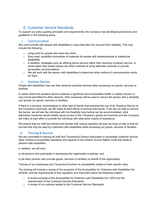# D. Customer Service Standards

To support our policy guiding principles and requirements, the Company has developed procedures and guidelines in the following areas:

## i. Communication

We communicate with people with disabilities in ways that take into account their disability. This may include the following:

- o Large print for people who have low vision;
- $\circ$  Easy-read, simplified summaries of materials for people with developmental or intellectual disabilities.
- $\circ$  In addition, strategies such as offering phone service rather than requiring in-person service, or email rather than postal notices are other methods of using alternate channels to provide accessible communications.
- $\circ$  We will work with the person with disabilities to determine what method of communication works for them.

## ii. Assistive Devices

People with disabilities may use their personal assistive devices when accessing our goods, services or facilities.

In cases where the assistive device presents a significant and unavoidable health or safety concern or may not be permitted for other reasons, other measures will be used to ensure the person with a disability can access our goods, services or facilities.

If there is a physical, technological or other type of barrier that prevents the use of an Assistive Device on the Company's premises, we will make its best efforts to remove that barrier. If we are not able to remove the barrier, we will ask the individual with the Disability how he/she can be accommodated, what alternative measures would enable equal access to the Company's goods and services and the Company will make its best effort to provide the individual with alternative means of assistance.

We ensure that our staff are trained and familiar with various assistive devices we have on site or that we provide that may be used by customers with disabilities while accessing our goods, services or facilities.

## iii. Training & Records

We are committed to training all staff and Temporary/Contract associates in accessible customer service, other Ontario's accessibility standards and aspects of the Ontario Human Rights Code that relate to persons with disabilities.

In addition, we will train:

a) all persons who participate in developing the organization's policies; and

b) all other persons who provide goods, services or facilities on behalf of the organization

Training of our employees and Temporary/Contract on accessibility relates to their specific roles.

The training will include a review of the purposes of the Accessibility for Ontarians with Disabilities Act (AODA), and the requirements of this regulation and instruction about the following matters:

- o A review purpose of the Accessibility for Ontarians with Disabilities Act, 2005 and the requirements of the Customer Service Standards
- o A review of our policies related to the Customer Service Standards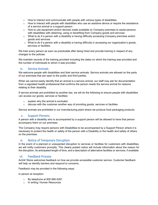- $\circ$  How to interact and communicate with people with various types of disabilities
- $\circ$  How to interact with people with disabilities who use an assistive device or require the assistance of a service animal or a support person
- o How to use equipment and/or devices made available on Company premises to assist persons with disabilities with obtaining, using or benefiting from Company goods and services.
- $\circ$  What to do if a person with a disability is having difficulty accessing Company premises and/or goods and services.
- o What to do if a person with a disability is having difficulty in accessing our organization's goods, services or facilities.

We train every person as soon as practicable after being hired and provide training in respect of any changes to the policies.

We maintain records of the training provided including the dates on which the training was provided and the number of individuals to whom it was provided.

## iv. Service Animals

We welcome people with disabilities and their service animals. Service animals are allowed on the parts of our premises that are open to the public and third parties.

When we cannot easily identify that an animal is a service animal, our staff may ask for documentation from a regulated health professional that confirms the person needs the service animal for reasons relating to their disability.

If service animals are prohibited by another law, we will do the following to ensure people with disabilities can access our goods, services or facilities:

- $\circ$  explain why the animal is excluded
- $\circ$  discuss with the customer another way of providing goods, services or facilities

Service animals are prohibited in our manufacturing plant where we produce food packaging products.

### v. Support Persons

A person with a disability who is accompanied by a support person will be allowed to have that person accompany them on our premises.

The Company may require persons with Disabilities to be accompanied by a Support Person where it is necessary to protect the health or safety of the person with a Disability or the health and safety of others on the premises.

## vi. Notice of Temporary Disruption

In the event of a planned or unexpected disruption to services or facilities for customers with disabilities, we will notify customers promptly. This clearly posted notice will include information about the reason for the disruption, its anticipated length of time, and a description of alternative facilities or services, if available.

## vii. Feedback Process

Amhil/ Stone welcomes feedback on how we provide accessible customer service. Customer feedback will help us identify barriers and respond to concerns.

Feedback may be provided in the following ways:

In person at reception

- o By telephone at 905 890-5261
- o In writing: Human Resources